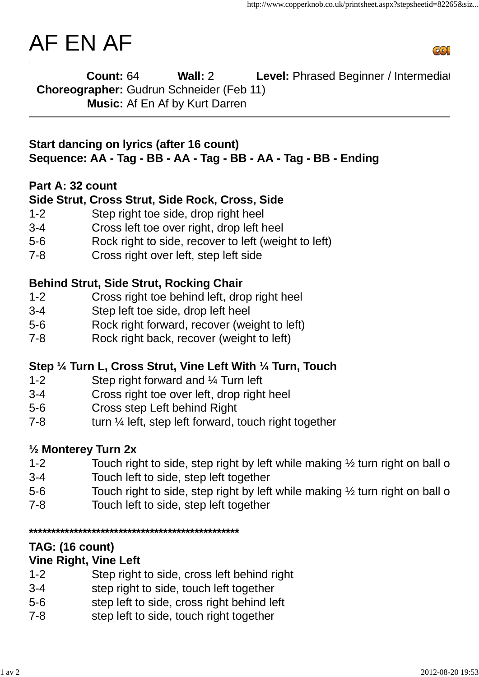# AF EN AF



**Count: 64 Wall: 2 Level: Phrased Beginner / Intermediate Count: 64 Wall: 2 Choreographer:** Gudrun Schneider (Feb 11) **Music:** Af En Af by Kurt Darren

## **Start dancing on lyrics (after 16 count) Sequence: AA - Tag - BB - AA - Tag - BB - AA - Tag - BB - Ending**

## **Part A: 32 count**

## **Side Strut, Cross Strut, Side Rock, Cross, Side**

- 1-2 Step right toe side, drop right heel
- 3-4 Cross left toe over right, drop left heel
- 5-6 Rock right to side, recover to left (weight to left)
- 7-8 Cross right over left, step left side

## **Behind Strut, Side Strut, Rocking Chair**

- 1-2 Cross right toe behind left, drop right heel
- 3-4 Step left toe side, drop left heel
- 5-6 Rock right forward, recover (weight to left)
- 7-8 Rock right back, recover (weight to left)

# **Step ¼ Turn L, Cross Strut, Vine Left With ¼ Turn, Touch**

- 1-2 Step right forward and ¼ Turn left
- 3-4 Cross right toe over left, drop right heel
- 5-6 Cross step Left behind Right
- 7-8 turn 1/4 left, step left forward, touch right together

## **½ Monterey Turn 2x**

- 1-2 Touch right to side, step right by left while making  $\frac{1}{2}$  turn right on ball of
- 3-4 Touch left to side, step left together
- 5-6 Touch right to side, step right by left while making  $\frac{1}{2}$  turn right on ball of
- 7-8 Touch left to side, step left together

**\*\*\*\*\*\*\*\*\*\*\*\*\*\*\*\*\*\*\*\*\*\*\*\*\*\*\*\*\*\*\*\*\*\*\*\*\*\*\*\*\*\*\*\*\*\*\***

# **TAG: (16 count)**

## **Vine Right, Vine Left**

- 1-2 Step right to side, cross left behind right
- 3-4 step right to side, touch left together
- 5-6 step left to side, cross right behind left
- 7-8 step left to side, touch right together